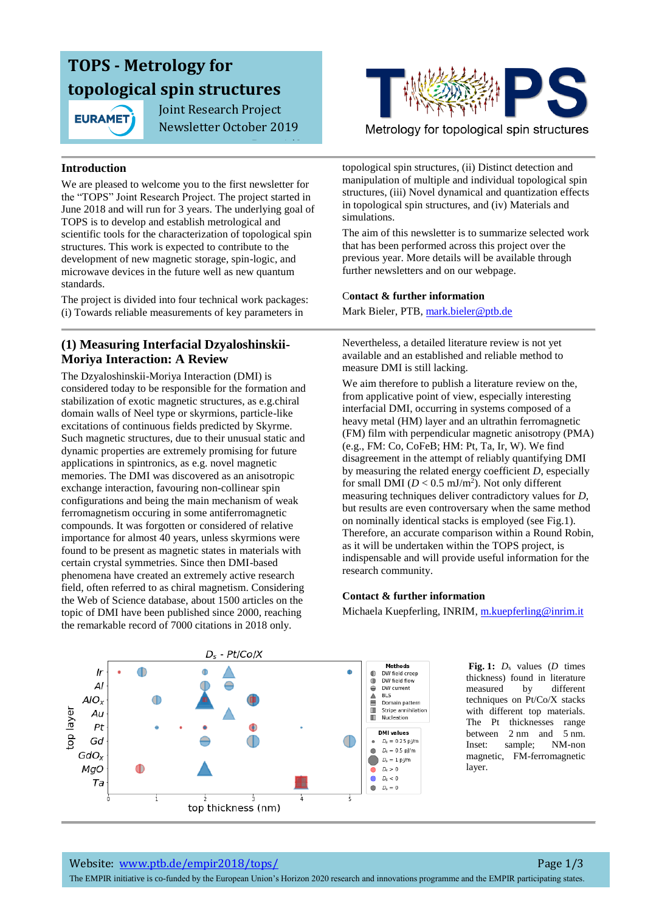# **TOPS - Metrology for topological spin structures**

**EURAMET** 

 Joint Research Project Newsletter October 2019

Page 1/3



Metrology for topological spin structures

#### **Introduction**

We are pleased to welcome you to the first newsletter for the "TOPS" Joint Research Project. The project started in June 2018 and will run for 3 years. The underlying goal of TOPS is to develop and establish metrological and scientific tools for the characterization of topological spin structures. This work is expected to contribute to the development of new magnetic storage, spin-logic, and microwave devices in the future well as new quantum standards.

The project is divided into four technical work packages: (i) Towards reliable measurements of key parameters in

## **(1) Measuring Interfacial Dzyaloshinskii-Moriya Interaction: A Review**

The Dzyaloshinskii-Moriya Interaction (DMI) is considered today to be responsible for the formation and stabilization of exotic magnetic structures, as e.g.chiral domain walls of Neel type or skyrmions, particle-like excitations of continuous fields predicted by Skyrme. Such magnetic structures, due to their unusual static and dynamic properties are extremely promising for future applications in spintronics, as e.g. novel magnetic memories. The DMI was discovered as an anisotropic exchange interaction, favouring non-collinear spin configurations and being the main mechanism of weak ferromagnetism occuring in some antiferromagnetic compounds. It was forgotten or considered of relative importance for almost 40 years, unless skyrmions were found to be present as magnetic states in materials with certain crystal symmetries. Since then DMI-based phenomena have created an extremely active research field, often referred to as chiral magnetism. Considering the Web of Science database, about 1500 articles on the topic of DMI have been published since 2000, reaching the remarkable record of 7000 citations in 2018 only.

topological spin structures, (ii) Distinct detection and manipulation of multiple and individual topological spin structures, (iii) Novel dynamical and quantization effects in topological spin structures, and (iv) Materials and simulations.

The aim of this newsletter is to summarize selected work that has been performed across this project over the previous year. More details will be available through further newsletters and on our webpage.

#### C**ontact & further information**

Mark Bieler, PTB, [mark.bieler@ptb.de](mailto:mark.bieler@ptb.de)

Nevertheless, a detailed literature review is not yet available and an established and reliable method to measure DMI is still lacking.

We aim therefore to publish a literature review on the, from applicative point of view, especially interesting interfacial DMI, occurring in systems composed of a heavy metal (HM) layer and an ultrathin ferromagnetic (FM) film with perpendicular magnetic anisotropy (PMA) (e.g., FM: Co, CoFeB; HM: Pt, Ta, Ir, W). We find disagreement in the attempt of reliably quantifying DMI by measuring the related energy coefficient *D*, especially for small DMI  $(D < 0.5 \text{ mJ/m}^2)$ . Not only different measuring techniques deliver contradictory values for *D*, but results are even controversary when the same method on nominally identical stacks is employed (see Fig.1). Therefore, an accurate comparison within a Round Robin, as it will be undertaken within the TOPS project, is indispensable and will provide useful information for the research community.

#### **Contact & further information**

Michaela Kuepferling, INRIM, [m.kuepferling@inrim.it](mailto:m.kuepferling@inrim.it)



**Fig. 1:** *D*<sup>s</sup> values (*D* times thickness) found in literature measured by different techniques on Pt/Co/X stacks with different top materials. The Pt thicknesses range between 2 nm and 5 nm. Inset: sample; NM-non magnetic, FM-ferromagnetic layer.

The EMPIR initiative is co-funded by the European Union's Horizon 2020 research and innovations programme and the EMPIR participating states.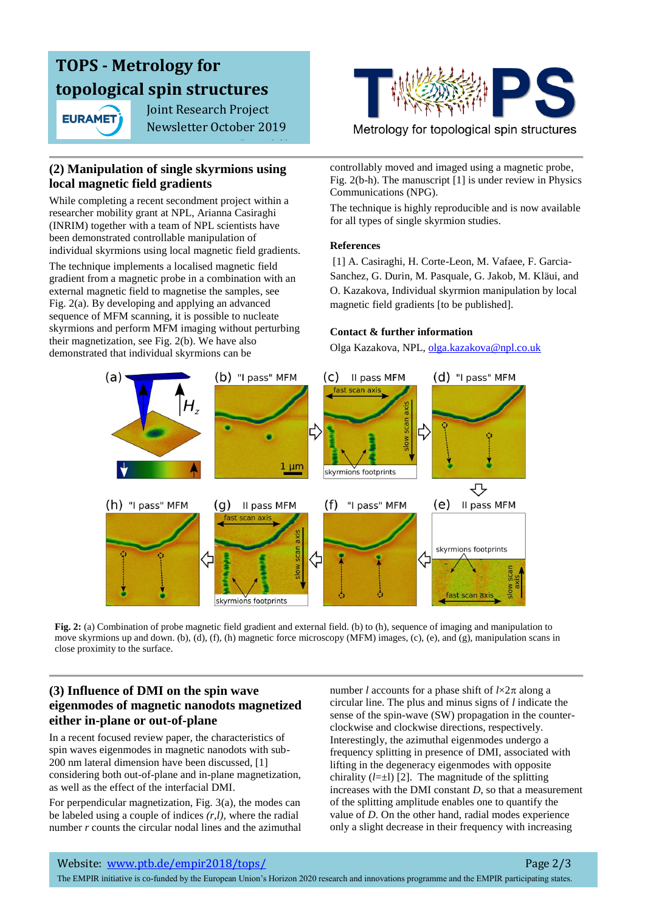# **TOPS - Metrology for topological spin structures**

**EURAMET** 

 Joint Research Project Newsletter October 2019

Page 2/3

## **(2) Manipulation of single skyrmions using local magnetic field gradients**

While completing a recent secondment project within a researcher mobility grant at NPL, Arianna Casiraghi (INRIM) together with a team of NPL scientists have been demonstrated controllable manipulation of individual skyrmions using local magnetic field gradients.

The technique implements a localised magnetic field gradient from a magnetic probe in a combination with an external magnetic field to magnetise the samples, see Fig. 2(a). By developing and applying an advanced sequence of MFM scanning, it is possible to nucleate skyrmions and perform MFM imaging without perturbing their magnetization, see Fig. 2(b). We have also demonstrated that individual skyrmions can be



Metrology for topological spin structures

controllably moved and imaged using a magnetic probe, Fig. 2(b-h). The manuscript [1] is under review in Physics Communications (NPG).

The technique is highly reproducible and is now available for all types of single skyrmion studies.

### **References**

[1] A. Casiraghi, H. Corte-Leon, M. Vafaee, F. Garcia-Sanchez, G. Durin, M. Pasquale, G. Jakob, M. Kläui, and O. Kazakova, Individual skyrmion manipulation by local magnetic field gradients [to be published].

### **Contact & further information**

Olga Kazakova, NPL, [olga.kazakova@npl.co.uk](mailto:olga.kazakova@npl.co.uk) 



**Fig.** 2: (a) Combination of probe magnetic field gradient and external field. (b) to (h), sequence of imaging and manipulation to move skyrmions up and down. (b), (d), (f), (h) magnetic force microscopy (MFM) images, (c), (e), and (g), manipulation scans in close proximity to the surface.

### **(3) Influence of DMI on the spin wave eigenmodes of magnetic nanodots magnetized either in-plane or out-of-plane**

In a recent focused review paper, the characteristics of spin waves eigenmodes in magnetic nanodots with sub-200 nm lateral dimension have been discussed, [1] considering both out-of-plane and in-plane magnetization, as well as the effect of the interfacial DMI.

For perpendicular magnetization, Fig. 3(a), the modes can be labeled using a couple of indices *(r,l),* where the radial number *r* counts the circular nodal lines and the azimuthal number *l* accounts for a phase shift of  $l \times 2\pi$  along a circular line. The plus and minus signs of *l* indicate the sense of the spin-wave (SW) propagation in the counterclockwise and clockwise directions, respectively. Interestingly, the azimuthal eigenmodes undergo a frequency splitting in presence of DMI, associated with lifting in the degeneracy eigenmodes with opposite chirality  $(l=\pm 1)$  [2]. The magnitude of the splitting increases with the DMI constant *D*, so that a measurement of the splitting amplitude enables one to quantify the value of *D*. On the other hand, radial modes experience only a slight decrease in their frequency with increasing

The EMPIR initiative is co-funded by the European Union's Horizon 2020 research and innovations programme and the EMPIR participating states.